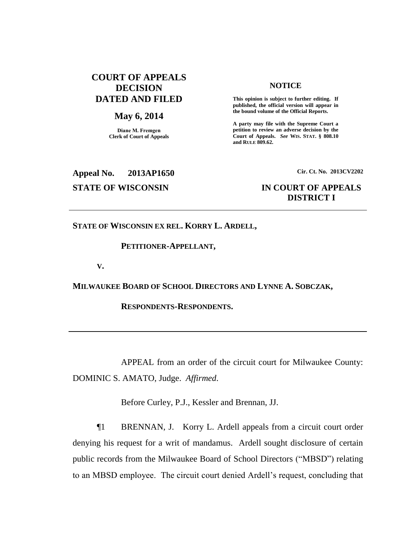# **COURT OF APPEALS DECISION DATED AND FILED**

# **May 6, 2014**

**Diane M. Fremgen Clerk of Court of Appeals**

### **NOTICE**

**This opinion is subject to further editing. If published, the official version will appear in the bound volume of the Official Reports.** 

**A party may file with the Supreme Court a petition to review an adverse decision by the Court of Appeals.** *See* **WIS. STAT. § 808.10 and RULE 809.62.** 

# **Appeal No. 2013AP1650 Cir. Ct. No. 2013CV2202**

# **STATE OF WISCONSIN IN COURT OF APPEALS DISTRICT I**

**STATE OF WISCONSIN EX REL. KORRY L. ARDELL,**

## **PETITIONER-APPELLANT,**

**V.**

**MILWAUKEE BOARD OF SCHOOL DIRECTORS AND LYNNE A. SOBCZAK,**

**RESPONDENTS-RESPONDENTS.**

APPEAL from an order of the circuit court for Milwaukee County: DOMINIC S. AMATO, Judge. *Affirmed*.

Before Curley, P.J., Kessler and Brennan, JJ.

¶1 BRENNAN, J. Korry L. Ardell appeals from a circuit court order denying his request for a writ of mandamus. Ardell sought disclosure of certain public records from the Milwaukee Board of School Directors ("MBSD") relating to an MBSD employee. The circuit court denied Ardell's request, concluding that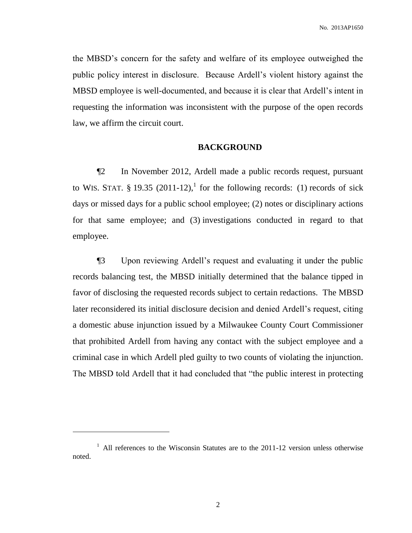the MBSD's concern for the safety and welfare of its employee outweighed the public policy interest in disclosure. Because Ardell's violent history against the MBSD employee is well-documented, and because it is clear that Ardell's intent in requesting the information was inconsistent with the purpose of the open records law, we affirm the circuit court.

### **BACKGROUND**

¶2 In November 2012, Ardell made a public records request, pursuant to WIS. STAT. § 19.35  $(2011-12)$ ,<sup>1</sup> for the following records: (1) records of sick days or missed days for a public school employee; (2) notes or disciplinary actions for that same employee; and (3) investigations conducted in regard to that employee.

¶3 Upon reviewing Ardell's request and evaluating it under the public records balancing test, the MBSD initially determined that the balance tipped in favor of disclosing the requested records subject to certain redactions. The MBSD later reconsidered its initial disclosure decision and denied Ardell's request, citing a domestic abuse injunction issued by a Milwaukee County Court Commissioner that prohibited Ardell from having any contact with the subject employee and a criminal case in which Ardell pled guilty to two counts of violating the injunction. The MBSD told Ardell that it had concluded that "the public interest in protecting

l

<sup>&</sup>lt;sup>1</sup> All references to the Wisconsin Statutes are to the 2011-12 version unless otherwise noted.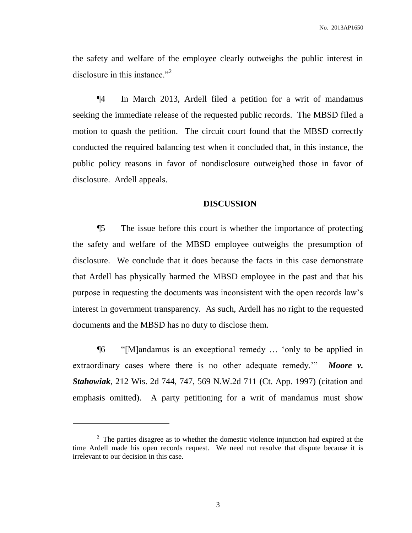the safety and welfare of the employee clearly outweighs the public interest in disclosure in this instance."<sup>2</sup>

¶4 In March 2013, Ardell filed a petition for a writ of mandamus seeking the immediate release of the requested public records. The MBSD filed a motion to quash the petition. The circuit court found that the MBSD correctly conducted the required balancing test when it concluded that, in this instance, the public policy reasons in favor of nondisclosure outweighed those in favor of disclosure. Ardell appeals.

# **DISCUSSION**

¶5 The issue before this court is whether the importance of protecting the safety and welfare of the MBSD employee outweighs the presumption of disclosure. We conclude that it does because the facts in this case demonstrate that Ardell has physically harmed the MBSD employee in the past and that his purpose in requesting the documents was inconsistent with the open records law's interest in government transparency. As such, Ardell has no right to the requested documents and the MBSD has no duty to disclose them.

¶6 "[M]andamus is an exceptional remedy … 'only to be applied in extraordinary cases where there is no other adequate remedy.<sup>""</sup> Moore v. *Stahowiak*, 212 Wis. 2d 744, 747, 569 N.W.2d 711 (Ct. App. 1997) (citation and emphasis omitted). A party petitioning for a writ of mandamus must show

 $\overline{\phantom{a}}$ 

 $2<sup>2</sup>$  The parties disagree as to whether the domestic violence injunction had expired at the time Ardell made his open records request. We need not resolve that dispute because it is irrelevant to our decision in this case.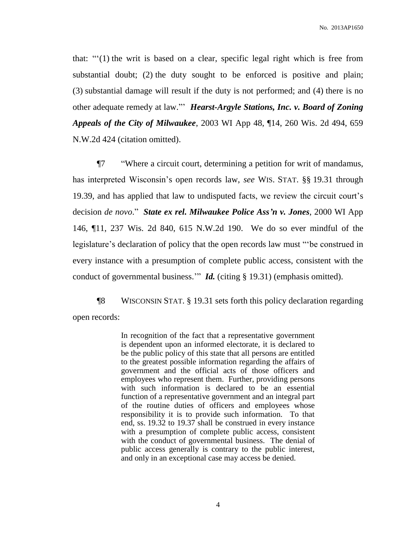that: "'(1) the writ is based on a clear, specific legal right which is free from substantial doubt; (2) the duty sought to be enforced is positive and plain; (3) substantial damage will result if the duty is not performed; and (4) there is no other adequate remedy at law."' *Hearst-Argyle Stations, Inc. v. Board of Zoning Appeals of the City of Milwaukee*, 2003 WI App 48, ¶14, 260 Wis. 2d 494, 659 N.W.2d 424 (citation omitted).

¶7 "Where a circuit court, determining a petition for writ of mandamus, has interpreted Wisconsin's open records law, *see* WIS. STAT. §§ 19.31 through 19.39, and has applied that law to undisputed facts, we review the circuit court's decision *de novo*." *State ex rel. Milwaukee Police Ass'n v. Jones*, 2000 WI App 146, ¶11, 237 Wis. 2d 840, 615 N.W.2d 190. We do so ever mindful of the legislature's declaration of policy that the open records law must "'be construed in every instance with a presumption of complete public access, consistent with the conduct of governmental business." *Id.* (citing § 19.31) (emphasis omitted).

¶8 WISCONSIN STAT. § 19.31 sets forth this policy declaration regarding open records:

> In recognition of the fact that a representative government is dependent upon an informed electorate, it is declared to be the public policy of this state that all persons are entitled to the greatest possible information regarding the affairs of government and the official acts of those officers and employees who represent them. Further, providing persons with such information is declared to be an essential function of a representative government and an integral part of the routine duties of officers and employees whose responsibility it is to provide such information. To that end, ss. 19.32 to 19.37 shall be construed in every instance with a presumption of complete public access, consistent with the conduct of governmental business. The denial of public access generally is contrary to the public interest, and only in an exceptional case may access be denied.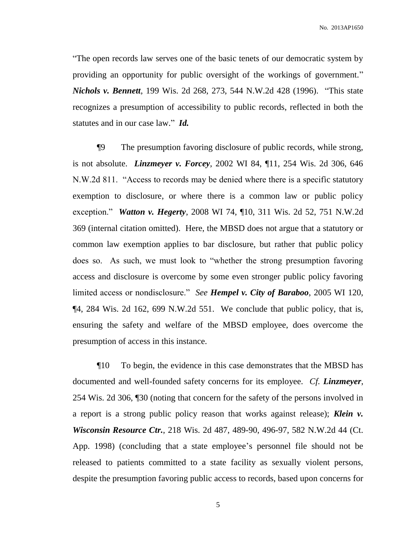No. 2013AP1650

"The open records law serves one of the basic tenets of our democratic system by providing an opportunity for public oversight of the workings of government." *Nichols v. Bennett*, 199 Wis. 2d 268, 273, 544 N.W.2d 428 (1996). "This state recognizes a presumption of accessibility to public records, reflected in both the statutes and in our case law." *Id.*

¶9 The presumption favoring disclosure of public records, while strong, is not absolute. *Linzmeyer v. Forcey*, 2002 WI 84, ¶11, 254 Wis. 2d 306, 646 N.W.2d 811. "Access to records may be denied where there is a specific statutory exemption to disclosure, or where there is a common law or public policy exception." *Watton v. Hegerty*, 2008 WI 74, ¶10, 311 Wis. 2d 52, 751 N.W.2d 369 (internal citation omitted). Here, the MBSD does not argue that a statutory or common law exemption applies to bar disclosure, but rather that public policy does so. As such, we must look to "whether the strong presumption favoring access and disclosure is overcome by some even stronger public policy favoring limited access or nondisclosure." *See Hempel v. City of Baraboo*, 2005 WI 120, ¶4, 284 Wis. 2d 162, 699 N.W.2d 551. We conclude that public policy, that is, ensuring the safety and welfare of the MBSD employee, does overcome the presumption of access in this instance.

¶10 To begin, the evidence in this case demonstrates that the MBSD has documented and well-founded safety concerns for its employee. *Cf. Linzmeyer*, 254 Wis. 2d 306, ¶30 (noting that concern for the safety of the persons involved in a report is a strong public policy reason that works against release); *Klein v. Wisconsin Resource Ctr.*, 218 Wis. 2d 487, 489-90, 496-97, 582 N.W.2d 44 (Ct. App. 1998) (concluding that a state employee's personnel file should not be released to patients committed to a state facility as sexually violent persons, despite the presumption favoring public access to records, based upon concerns for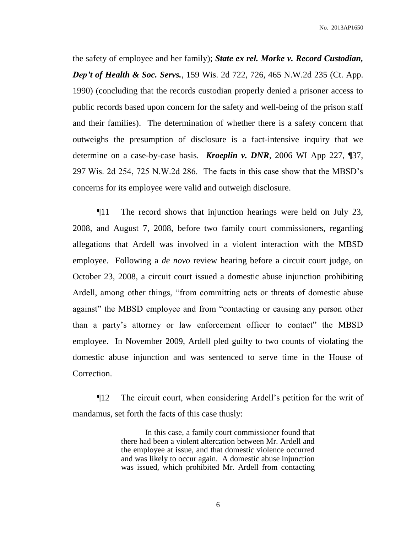the safety of employee and her family); *State ex rel. Morke v. Record Custodian, Dep't of Health & Soc. Servs.*, 159 Wis. 2d 722, 726, 465 N.W.2d 235 (Ct. App. 1990) (concluding that the records custodian properly denied a prisoner access to public records based upon concern for the safety and well-being of the prison staff and their families). The determination of whether there is a safety concern that outweighs the presumption of disclosure is a fact-intensive inquiry that we determine on a case-by-case basis. *Kroeplin v. DNR*, 2006 WI App 227, ¶37, 297 Wis. 2d 254, 725 N.W.2d 286. The facts in this case show that the MBSD's concerns for its employee were valid and outweigh disclosure.

¶11 The record shows that injunction hearings were held on July 23, 2008, and August 7, 2008, before two family court commissioners, regarding allegations that Ardell was involved in a violent interaction with the MBSD employee. Following a *de novo* review hearing before a circuit court judge, on October 23, 2008, a circuit court issued a domestic abuse injunction prohibiting Ardell, among other things, "from committing acts or threats of domestic abuse against" the MBSD employee and from "contacting or causing any person other than a party's attorney or law enforcement officer to contact" the MBSD employee. In November 2009, Ardell pled guilty to two counts of violating the domestic abuse injunction and was sentenced to serve time in the House of Correction.

¶12 The circuit court, when considering Ardell's petition for the writ of mandamus, set forth the facts of this case thusly:

> In this case, a family court commissioner found that there had been a violent altercation between Mr. Ardell and the employee at issue, and that domestic violence occurred and was likely to occur again. A domestic abuse injunction was issued, which prohibited Mr. Ardell from contacting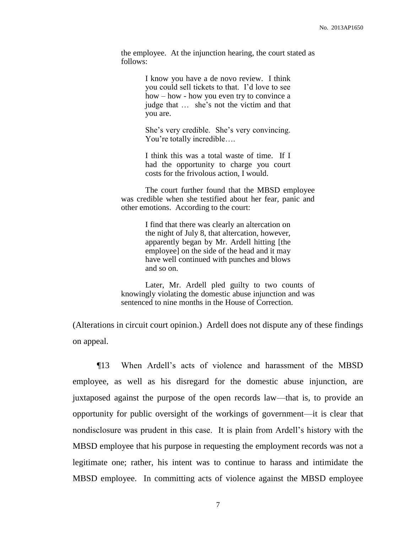the employee. At the injunction hearing, the court stated as follows:

> I know you have a de novo review. I think you could sell tickets to that. I'd love to see how – how - how you even try to convince a judge that … she's not the victim and that you are.

> She's very credible. She's very convincing. You're totally incredible….

> I think this was a total waste of time. If I had the opportunity to charge you court costs for the frivolous action, I would.

The court further found that the MBSD employee was credible when she testified about her fear, panic and other emotions. According to the court:

> I find that there was clearly an altercation on the night of July 8, that altercation, however, apparently began by Mr. Ardell hitting [the employee] on the side of the head and it may have well continued with punches and blows and so on.

Later, Mr. Ardell pled guilty to two counts of knowingly violating the domestic abuse injunction and was sentenced to nine months in the House of Correction.

(Alterations in circuit court opinion.) Ardell does not dispute any of these findings on appeal.

¶13 When Ardell's acts of violence and harassment of the MBSD employee, as well as his disregard for the domestic abuse injunction, are juxtaposed against the purpose of the open records law—that is, to provide an opportunity for public oversight of the workings of government—it is clear that nondisclosure was prudent in this case. It is plain from Ardell's history with the MBSD employee that his purpose in requesting the employment records was not a legitimate one; rather, his intent was to continue to harass and intimidate the MBSD employee. In committing acts of violence against the MBSD employee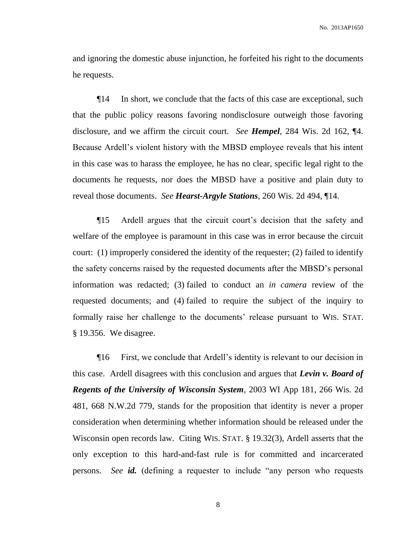and ignoring the domestic abuse injunction, he forfeited his right to the documents he requests.

¶14 In short, we conclude that the facts of this case are exceptional, such that the public policy reasons favoring nondisclosure outweigh those favoring disclosure, and we affirm the circuit court. *See Hempel*, 284 Wis. 2d 162, ¶4. Because Ardell's violent history with the MBSD employee reveals that his intent in this case was to harass the employee, he has no clear, specific legal right to the documents he requests, nor does the MBSD have a positive and plain duty to reveal those documents. *See Hearst-Argyle Stations*, 260 Wis. 2d 494, ¶14.

¶15 Ardell argues that the circuit court's decision that the safety and welfare of the employee is paramount in this case was in error because the circuit court: (1) improperly considered the identity of the requester; (2) failed to identify the safety concerns raised by the requested documents after the MBSD's personal information was redacted; (3) failed to conduct an *in camera* review of the requested documents; and (4) failed to require the subject of the inquiry to formally raise her challenge to the documents' release pursuant to WIS. STAT. § 19.356. We disagree.

¶16 First, we conclude that Ardell's identity is relevant to our decision in this case. Ardell disagrees with this conclusion and argues that *Levin v. Board of Regents of the University of Wisconsin System*, 2003 WI App 181, 266 Wis. 2d 481, 668 N.W.2d 779, stands for the proposition that identity is never a proper consideration when determining whether information should be released under the Wisconsin open records law. Citing WIS. STAT. § 19.32(3), Ardell asserts that the only exception to this hard-and-fast rule is for committed and incarcerated persons. *See id.* (defining a requester to include "any person who requests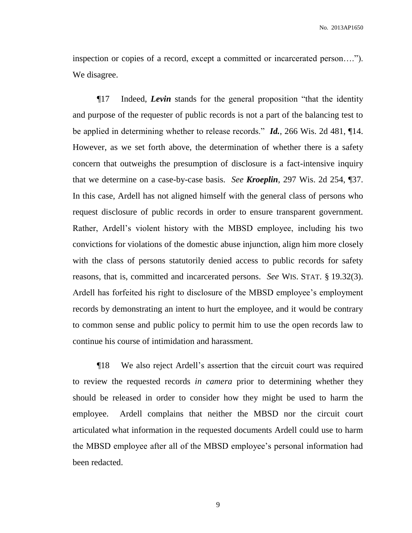inspection or copies of a record, except a committed or incarcerated person…."). We disagree.

¶17 Indeed, *Levin* stands for the general proposition "that the identity and purpose of the requester of public records is not a part of the balancing test to be applied in determining whether to release records." *Id.*, 266 Wis. 2d 481, ¶14. However, as we set forth above, the determination of whether there is a safety concern that outweighs the presumption of disclosure is a fact-intensive inquiry that we determine on a case-by-case basis. *See Kroeplin*, 297 Wis. 2d 254, ¶37. In this case, Ardell has not aligned himself with the general class of persons who request disclosure of public records in order to ensure transparent government. Rather, Ardell's violent history with the MBSD employee, including his two convictions for violations of the domestic abuse injunction, align him more closely with the class of persons statutorily denied access to public records for safety reasons, that is, committed and incarcerated persons. *See* WIS. STAT. § 19.32(3). Ardell has forfeited his right to disclosure of the MBSD employee's employment records by demonstrating an intent to hurt the employee, and it would be contrary to common sense and public policy to permit him to use the open records law to continue his course of intimidation and harassment.

¶18 We also reject Ardell's assertion that the circuit court was required to review the requested records *in camera* prior to determining whether they should be released in order to consider how they might be used to harm the employee. Ardell complains that neither the MBSD nor the circuit court articulated what information in the requested documents Ardell could use to harm the MBSD employee after all of the MBSD employee's personal information had been redacted.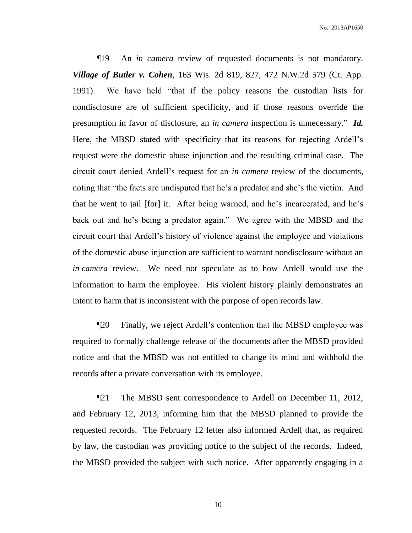¶19 An *in camera* review of requested documents is not mandatory. *Village of Butler v. Cohen*, 163 Wis. 2d 819, 827, 472 N.W.2d 579 (Ct. App. 1991). We have held "that if the policy reasons the custodian lists for nondisclosure are of sufficient specificity, and if those reasons override the presumption in favor of disclosure, an *in camera* inspection is unnecessary." *Id.* Here, the MBSD stated with specificity that its reasons for rejecting Ardell's request were the domestic abuse injunction and the resulting criminal case. The circuit court denied Ardell's request for an *in camera* review of the documents, noting that "the facts are undisputed that he's a predator and she's the victim. And that he went to jail [for] it. After being warned, and he's incarcerated, and he's back out and he's being a predator again." We agree with the MBSD and the circuit court that Ardell's history of violence against the employee and violations of the domestic abuse injunction are sufficient to warrant nondisclosure without an *in camera* review. We need not speculate as to how Ardell would use the information to harm the employee. His violent history plainly demonstrates an intent to harm that is inconsistent with the purpose of open records law.

¶20 Finally, we reject Ardell's contention that the MBSD employee was required to formally challenge release of the documents after the MBSD provided notice and that the MBSD was not entitled to change its mind and withhold the records after a private conversation with its employee.

¶21 The MBSD sent correspondence to Ardell on December 11, 2012, and February 12, 2013, informing him that the MBSD planned to provide the requested records. The February 12 letter also informed Ardell that, as required by law, the custodian was providing notice to the subject of the records. Indeed, the MBSD provided the subject with such notice. After apparently engaging in a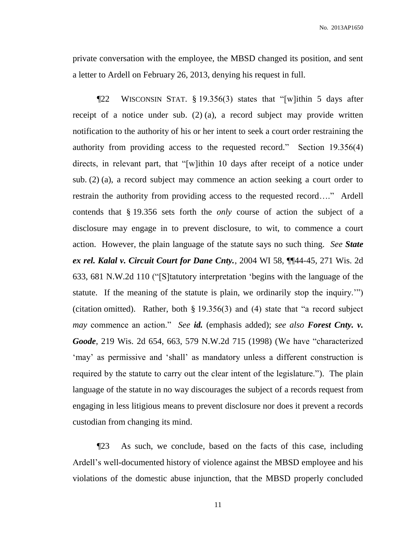No. 2013AP1650

private conversation with the employee, the MBSD changed its position, and sent a letter to Ardell on February 26, 2013, denying his request in full.

¶22 WISCONSIN STAT. § 19.356(3) states that "[w]ithin 5 days after receipt of a notice under sub. (2) (a), a record subject may provide written notification to the authority of his or her intent to seek a court order restraining the authority from providing access to the requested record." Section 19.356(4) directs, in relevant part, that "[w]ithin 10 days after receipt of a notice under sub. (2) (a), a record subject may commence an action seeking a court order to restrain the authority from providing access to the requested record…." Ardell contends that § 19.356 sets forth the *only* course of action the subject of a disclosure may engage in to prevent disclosure, to wit, to commence a court action. However, the plain language of the statute says no such thing. *See State ex rel. Kalal v. Circuit Court for Dane Cnty.*, 2004 WI 58, ¶¶44-45, 271 Wis. 2d 633, 681 N.W.2d 110 ("[S]tatutory interpretation 'begins with the language of the statute. If the meaning of the statute is plain, we ordinarily stop the inquiry.'") (citation omitted). Rather, both § 19.356(3) and (4) state that "a record subject *may* commence an action." *See id.* (emphasis added); *see also Forest Cnty. v. Goode*, 219 Wis. 2d 654, 663, 579 N.W.2d 715 (1998) (We have "characterized 'may' as permissive and 'shall' as mandatory unless a different construction is required by the statute to carry out the clear intent of the legislature."). The plain language of the statute in no way discourages the subject of a records request from engaging in less litigious means to prevent disclosure nor does it prevent a records custodian from changing its mind.

¶23 As such, we conclude, based on the facts of this case, including Ardell's well-documented history of violence against the MBSD employee and his violations of the domestic abuse injunction, that the MBSD properly concluded